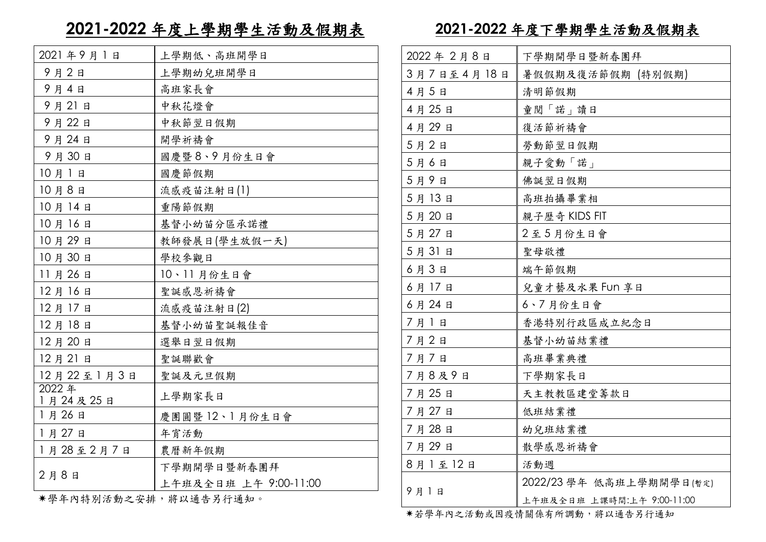## **2021-2022** 年度上學期學生活動及假期表

| 2021年9月1日                       | 上學期低、高班開學日            |
|---------------------------------|-----------------------|
| 9月2日                            | 上學期幼兒班開學日             |
| 9月4日                            | 高班家長會                 |
| 9月21日                           | 中秋花燈會                 |
| 9月22日                           | 中秋節翌日假期               |
| 9月24日                           | 開學祈禱會                 |
| 9月30日                           | 國慶暨8、9月份生日會           |
| 10月1日                           | 國慶節假期                 |
| 10月8日                           | 流感疫苗注射日(1)            |
| 10月14日                          | 重陽節假期                 |
| 10月16日                          | 基督小幼苗分區承諾禮            |
| 10月29日                          | 教師發展日(學生放假一天)         |
| 10月30日                          | 學校參觀日                 |
| 11月26日                          | 10、11月份生日會            |
| 12月16日                          | 聖誕感恩祈禱會               |
| 12月17日                          | 流感疫苗注射日(2)            |
| 12月18日                          | 基督小幼苗聖誕報佳音            |
| 12月20日                          | 選舉日翌日假期               |
| 12月21日                          | 聖誕聯歡會                 |
| 12月22至1月3日                      | 聖誕及元旦假期               |
| 2022年<br>1月24及25日               | 上學期家長日                |
| 1月26日                           | 慶團圓暨12、1月份生日會         |
| 1月27日                           | 年宵活動                  |
| 1月28至2月7日                       | 農曆新年假期                |
| 2月8日                            | 下學期開學日暨新春團拜           |
|                                 | 上午班及全日班 上午 9:00-11:00 |
| ↓ 愆 左 → よせいて <del>△</del> 、 → い | コカ いって ルーロ ノー・マール     |

**2021-2022** 年度下學期學生活動及假期表

| 2022年2月8日  | 下學期開學日暨新春團拜                |
|------------|----------------------------|
| 3月7日至4月18日 | 暑假假期及復活節假期 (特別假期)          |
| 4月5日       | 清明節假期                      |
| 4月25日      | 童閲「諾」讀日                    |
| 4月29日      | 復活節祈禱會                     |
| 5月2日       | 勞動節翌日假期                    |
| 5月6日       | 親子愛動「諾」                    |
| 5月9日       | 佛誕翌日假期                     |
| 5月13日      | 高班拍攝畢業相                    |
| 5月20日      | 親子歷奇 KIDS FIT              |
| 5月27日      | 2至5月份生日會                   |
| 5月31日      | 聖母敬禮                       |
| 6月3日       | 端午節假期                      |
| 6月17日      | 兒童才藝及水果 FUN 享日             |
| 6月24日      | 6、7月份生日會                   |
| 7月1日       | 香港特別行政區成立紀念日               |
| 7月2日       | 基督小幼苗結業禮                   |
| 7月7日       | 高班畢業典禮                     |
| 7月8及9日     | 下學期家長日                     |
| 7月25日      | 天主教教區建堂籌款日                 |
| 7月27日      | 低班結業禮                      |
| 7月28日      | 幼兒班結業禮                     |
| 7月29日      | 散學感恩祈禱會                    |
| 8月1至12日    | 活動週                        |
| 9月1日       | 2022/23 學年 低高班上學期開學日(暫定)   |
|            | 上午班及全日班 上課時間:上午 9:00-11:00 |

若學年內之活動或因疫情關係有所調動,將以通告另行通知

\*学年内特別活動之安排,將以通告为行通知。